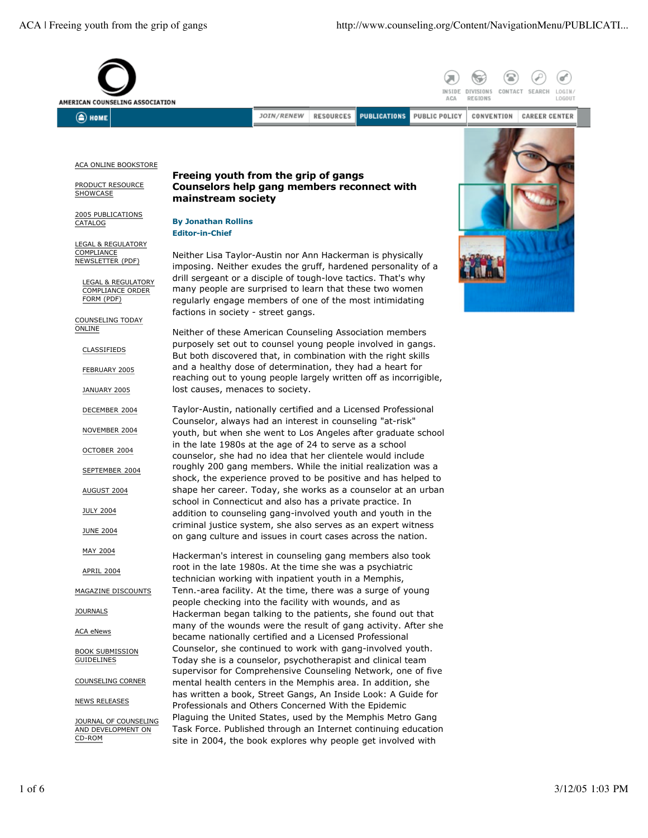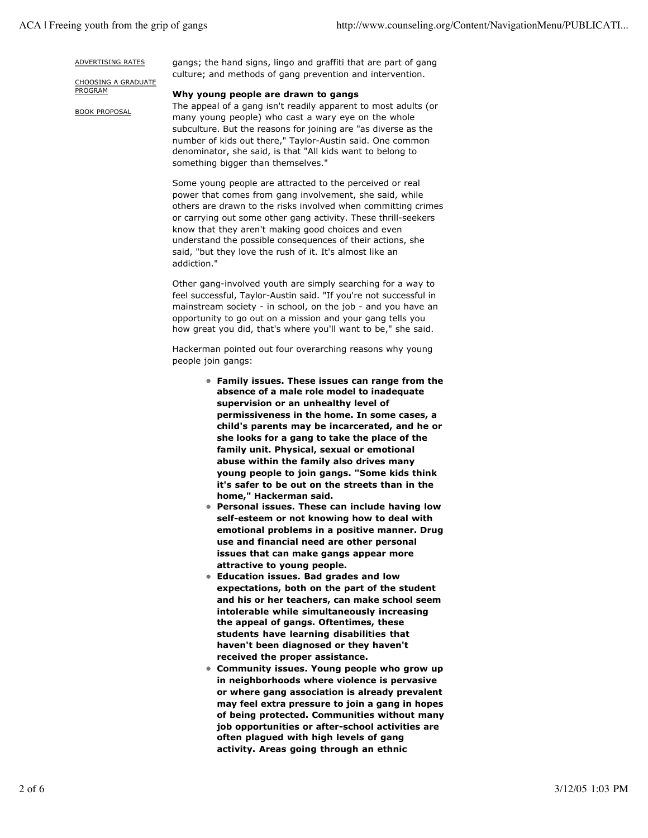#### ADVERTISING RATES

CHOOSING A GRADUATE PROGRAM

BOOK PROPOSAL

gangs; the hand signs, lingo and graffiti that are part of gang culture; and methods of gang prevention and intervention.

### **Why young people are drawn to gangs**

The appeal of a gang isn't readily apparent to most adults (or many young people) who cast a wary eye on the whole subculture. But the reasons for joining are "as diverse as the number of kids out there," Taylor-Austin said. One common denominator, she said, is that "All kids want to belong to something bigger than themselves."

Some young people are attracted to the perceived or real power that comes from gang involvement, she said, while others are drawn to the risks involved when committing crimes or carrying out some other gang activity. These thrill-seekers know that they aren't making good choices and even understand the possible consequences of their actions, she said, "but they love the rush of it. It's almost like an addiction."

Other gang-involved youth are simply searching for a way to feel successful, Taylor-Austin said. "If you're not successful in mainstream society - in school, on the job - and you have an opportunity to go out on a mission and your gang tells you how great you did, that's where you'll want to be," she said.

Hackerman pointed out four overarching reasons why young people join gangs:

- **Family issues. These issues can range from the absence of a male role model to inadequate supervision or an unhealthy level of permissiveness in the home. In some cases, a child's parents may be incarcerated, and he or she looks for a gang to take the place of the family unit. Physical, sexual or emotional abuse within the family also drives many young people to join gangs. "Some kids think it's safer to be out on the streets than in the home," Hackerman said.**
- **Personal issues. These can include having low self-esteem or not knowing how to deal with emotional problems in a positive manner. Drug use and financial need are other personal issues that can make gangs appear more attractive to young people.**
- **Education issues. Bad grades and low expectations, both on the part of the student and his or her teachers, can make school seem intolerable while simultaneously increasing the appeal of gangs. Oftentimes, these students have learning disabilities that haven't been diagnosed or they haven't received the proper assistance.**
- **Community issues. Young people who grow up in neighborhoods where violence is pervasive or where gang association is already prevalent may feel extra pressure to join a gang in hopes of being protected. Communities without many job opportunities or after-school activities are often plagued with high levels of gang activity. Areas going through an ethnic**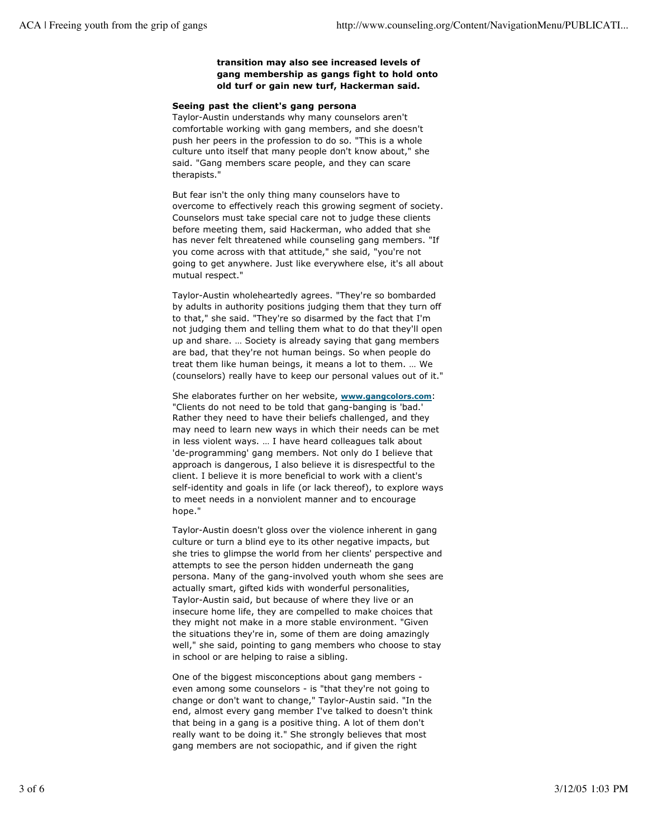# **transition may also see increased levels of gang membership as gangs fight to hold onto old turf or gain new turf, Hackerman said.**

# **Seeing past the client's gang persona**

Taylor-Austin understands why many counselors aren't comfortable working with gang members, and she doesn't push her peers in the profession to do so. "This is a whole culture unto itself that many people don't know about," she said. "Gang members scare people, and they can scare therapists."

But fear isn't the only thing many counselors have to overcome to effectively reach this growing segment of society. Counselors must take special care not to judge these clients before meeting them, said Hackerman, who added that she has never felt threatened while counseling gang members. "If you come across with that attitude," she said, "you're not going to get anywhere. Just like everywhere else, it's all about mutual respect."

Taylor-Austin wholeheartedly agrees. "They're so bombarded by adults in authority positions judging them that they turn off to that," she said. "They're so disarmed by the fact that I'm not judging them and telling them what to do that they'll open up and share. … Society is already saying that gang members are bad, that they're not human beings. So when people do treat them like human beings, it means a lot to them. … We (counselors) really have to keep our personal values out of it."

She elaborates further on her website, **www.gangcolors.com**: "Clients do not need to be told that gang-banging is 'bad.' Rather they need to have their beliefs challenged, and they may need to learn new ways in which their needs can be met in less violent ways. … I have heard colleagues talk about 'de-programming' gang members. Not only do I believe that approach is dangerous, I also believe it is disrespectful to the client. I believe it is more beneficial to work with a client's self-identity and goals in life (or lack thereof), to explore ways to meet needs in a nonviolent manner and to encourage hope."

Taylor-Austin doesn't gloss over the violence inherent in gang culture or turn a blind eye to its other negative impacts, but she tries to glimpse the world from her clients' perspective and attempts to see the person hidden underneath the gang persona. Many of the gang-involved youth whom she sees are actually smart, gifted kids with wonderful personalities, Taylor-Austin said, but because of where they live or an insecure home life, they are compelled to make choices that they might not make in a more stable environment. "Given the situations they're in, some of them are doing amazingly well," she said, pointing to gang members who choose to stay in school or are helping to raise a sibling.

One of the biggest misconceptions about gang members even among some counselors - is "that they're not going to change or don't want to change," Taylor-Austin said. "In the end, almost every gang member I've talked to doesn't think that being in a gang is a positive thing. A lot of them don't really want to be doing it." She strongly believes that most gang members are not sociopathic, and if given the right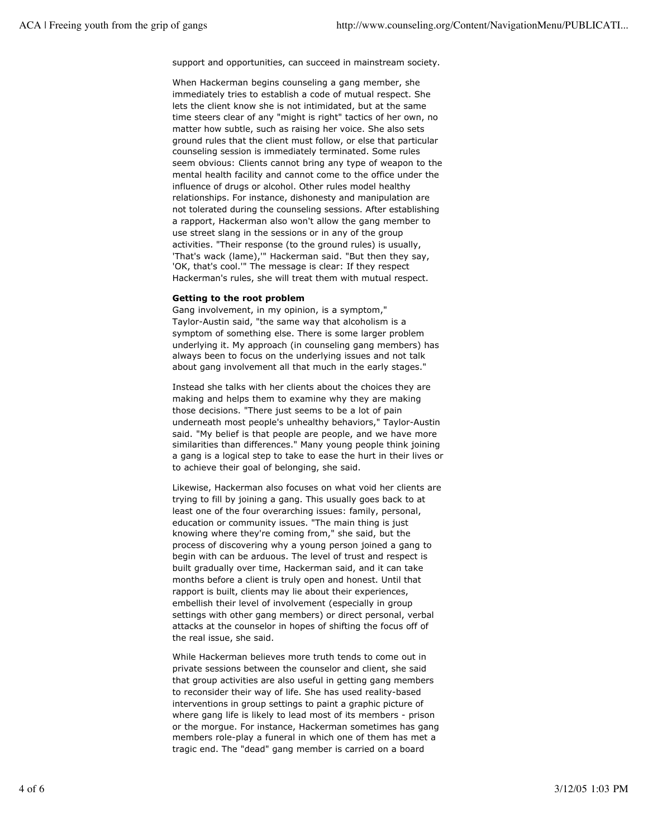support and opportunities, can succeed in mainstream society.

When Hackerman begins counseling a gang member, she immediately tries to establish a code of mutual respect. She lets the client know she is not intimidated, but at the same time steers clear of any "might is right" tactics of her own, no matter how subtle, such as raising her voice. She also sets ground rules that the client must follow, or else that particular counseling session is immediately terminated. Some rules seem obvious: Clients cannot bring any type of weapon to the mental health facility and cannot come to the office under the influence of drugs or alcohol. Other rules model healthy relationships. For instance, dishonesty and manipulation are not tolerated during the counseling sessions. After establishing a rapport, Hackerman also won't allow the gang member to use street slang in the sessions or in any of the group activities. "Their response (to the ground rules) is usually, 'That's wack (lame),'" Hackerman said. "But then they say, 'OK, that's cool.'" The message is clear: If they respect Hackerman's rules, she will treat them with mutual respect.

### **Getting to the root problem**

Gang involvement, in my opinion, is a symptom," Taylor-Austin said, "the same way that alcoholism is a symptom of something else. There is some larger problem underlying it. My approach (in counseling gang members) has always been to focus on the underlying issues and not talk about gang involvement all that much in the early stages."

Instead she talks with her clients about the choices they are making and helps them to examine why they are making those decisions. "There just seems to be a lot of pain underneath most people's unhealthy behaviors," Taylor-Austin said. "My belief is that people are people, and we have more similarities than differences." Many young people think joining a gang is a logical step to take to ease the hurt in their lives or to achieve their goal of belonging, she said.

Likewise, Hackerman also focuses on what void her clients are trying to fill by joining a gang. This usually goes back to at least one of the four overarching issues: family, personal, education or community issues. "The main thing is just knowing where they're coming from," she said, but the process of discovering why a young person joined a gang to begin with can be arduous. The level of trust and respect is built gradually over time, Hackerman said, and it can take months before a client is truly open and honest. Until that rapport is built, clients may lie about their experiences, embellish their level of involvement (especially in group settings with other gang members) or direct personal, verbal attacks at the counselor in hopes of shifting the focus off of the real issue, she said.

While Hackerman believes more truth tends to come out in private sessions between the counselor and client, she said that group activities are also useful in getting gang members to reconsider their way of life. She has used reality-based interventions in group settings to paint a graphic picture of where gang life is likely to lead most of its members - prison or the morgue. For instance, Hackerman sometimes has gang members role-play a funeral in which one of them has met a tragic end. The "dead" gang member is carried on a board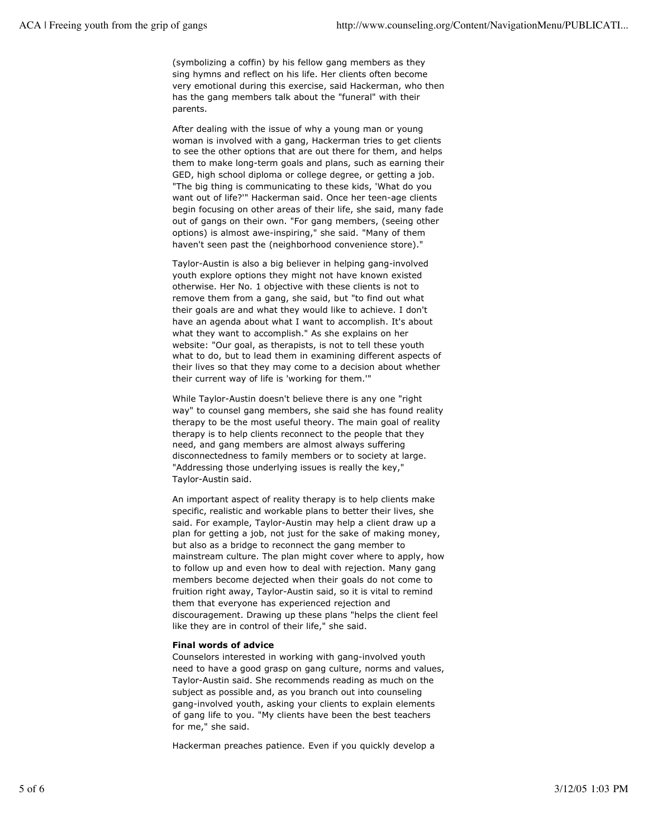(symbolizing a coffin) by his fellow gang members as they sing hymns and reflect on his life. Her clients often become very emotional during this exercise, said Hackerman, who then has the gang members talk about the "funeral" with their parents.

After dealing with the issue of why a young man or young woman is involved with a gang, Hackerman tries to get clients to see the other options that are out there for them, and helps them to make long-term goals and plans, such as earning their GED, high school diploma or college degree, or getting a job. "The big thing is communicating to these kids, 'What do you want out of life?'" Hackerman said. Once her teen-age clients begin focusing on other areas of their life, she said, many fade out of gangs on their own. "For gang members, (seeing other options) is almost awe-inspiring," she said. "Many of them haven't seen past the (neighborhood convenience store)."

Taylor-Austin is also a big believer in helping gang-involved youth explore options they might not have known existed otherwise. Her No. 1 objective with these clients is not to remove them from a gang, she said, but "to find out what their goals are and what they would like to achieve. I don't have an agenda about what I want to accomplish. It's about what they want to accomplish." As she explains on her website: "Our goal, as therapists, is not to tell these youth what to do, but to lead them in examining different aspects of their lives so that they may come to a decision about whether their current way of life is 'working for them.'"

While Taylor-Austin doesn't believe there is any one "right way" to counsel gang members, she said she has found reality therapy to be the most useful theory. The main goal of reality therapy is to help clients reconnect to the people that they need, and gang members are almost always suffering disconnectedness to family members or to society at large. "Addressing those underlying issues is really the key," Taylor-Austin said.

An important aspect of reality therapy is to help clients make specific, realistic and workable plans to better their lives, she said. For example, Taylor-Austin may help a client draw up a plan for getting a job, not just for the sake of making money, but also as a bridge to reconnect the gang member to mainstream culture. The plan might cover where to apply, how to follow up and even how to deal with rejection. Many gang members become dejected when their goals do not come to fruition right away, Taylor-Austin said, so it is vital to remind them that everyone has experienced rejection and discouragement. Drawing up these plans "helps the client feel like they are in control of their life," she said.

### **Final words of advice**

Counselors interested in working with gang-involved youth need to have a good grasp on gang culture, norms and values, Taylor-Austin said. She recommends reading as much on the subject as possible and, as you branch out into counseling gang-involved youth, asking your clients to explain elements of gang life to you. "My clients have been the best teachers for me," she said.

Hackerman preaches patience. Even if you quickly develop a